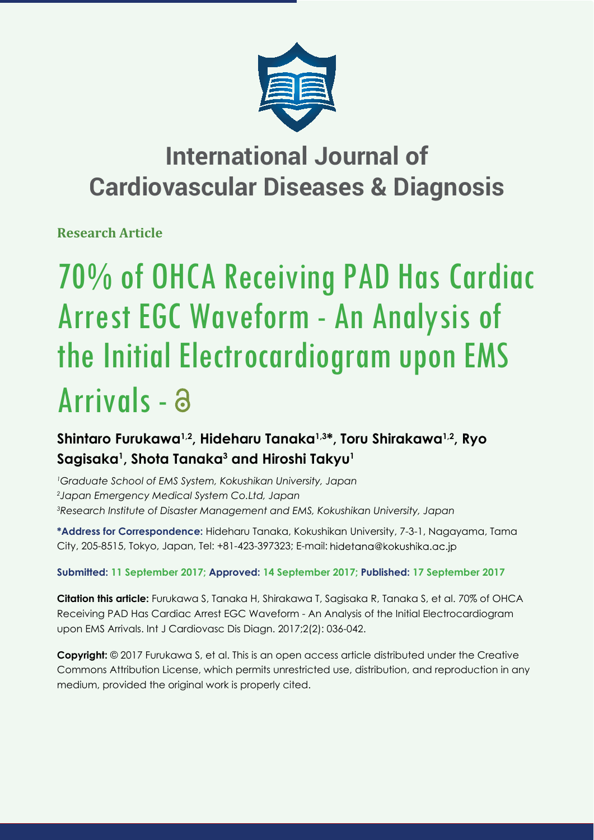

## **International Journal of Cardiovascular Diseases & Diagnosis**

**Research Article**

# 70% of OHCA Receiving PAD Has Cardiac Arrest EGC Waveform - An Analysis of the Initial Electrocardiogram upon EMS Arrivals -

## **Shintaro Furukawa1,2, Hideharu Tanaka1,3\*, Toru Shirakawa1,2, Ryo Sagisaka1 , Shota Tanaka3 and Hiroshi Takyu1**

*1 Graduate School of EMS System, Kokushikan University, Japan*

*2 Japan Emergency Medical System Co.Ltd, Japan*

*3 Research Institute of Disaster Management and EMS, Kokushikan University, Japan*

**\*Address for Correspondence:** Hideharu Tanaka, Kokushikan University, 7-3-1, Nagayama, Tama City, 205-8515, Tokyo, Japan, Tel: +81-423-397323; E-mail:

### **Submitted: 11 September 2017; Approved: 14 September 2017; Published: 17 September 2017**

**Citation this article:** Furukawa S, Tanaka H, Shirakawa T, Sagisaka R, Tanaka S, et al. 70% of OHCA Receiving PAD Has Cardiac Arrest EGC Waveform - An Analysis of the Initial Electrocardiogram upon EMS Arrivals. Int J Cardiovasc Dis Diagn. 2017;2(2): 036-042.

**Copyright:** © 2017 Furukawa S, et al. This is an open access article distributed under the Creative Commons Attribution License, which permits unrestricted use, distribution, and reproduction in any medium, provided the original work is properly cited.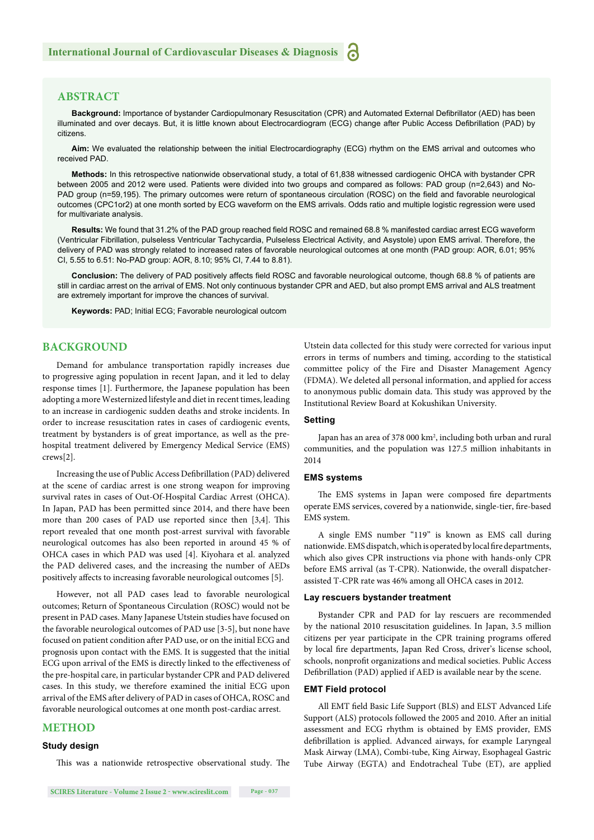#### **ABSTRACT**

Background: Importance of bystander Cardiopulmonary Resuscitation (CPR) and Automated External Defibrillator (AED) has been illuminated and over decays. But, it is little known about Electrocardiogram (ECG) change after Public Access Defibrillation (PAD) by citizens.

**Aim:** We evaluated the relationship between the initial Electrocardiography (ECG) rhythm on the EMS arrival and outcomes who received PAD.

**Methods:** In this retrospective nationwide observational study, a total of 61,838 witnessed cardiogenic OHCA with bystander CPR between 2005 and 2012 were used. Patients were divided into two groups and compared as follows: PAD group (n=2,643) and No-PAD group (n=59,195). The primary outcomes were return of spontaneous circulation (ROSC) on the field and favorable neurological outcomes (CPC1or2) at one month sorted by ECG waveform on the EMS arrivals. Odds ratio and multiple logistic regression were used for multivariate analysis.

Results: We found that 31.2% of the PAD group reached field ROSC and remained 68.8 % manifested cardiac arrest ECG waveform (Ventricular Fibrillation, pulseless Ventricular Tachycardia, Pulseless Electrical Activity, and Asystole) upon EMS arrival. Therefore, the delivery of PAD was strongly related to increased rates of favorable neurological outcomes at one month (PAD group: AOR, 6.01; 95% CI, 5.55 to 6.51: No-PAD group: AOR, 8.10; 95% CI, 7.44 to 8.81).

Conclusion: The delivery of PAD positively affects field ROSC and favorable neurological outcome, though 68.8 % of patients are still in cardiac arrest on the arrival of EMS. Not only continuous bystander CPR and AED, but also prompt EMS arrival and ALS treatment are extremely important for improve the chances of survival.

**Keywords:** PAD; Initial ECG; Favorable neurological outcom

#### **BACKGROUND**

Demand for ambulance transportation rapidly increases due to progressive aging population in recent Japan, and it led to delay response times [1]. Furthermore, the Japanese population has been adopting a more Westernized lifestyle and diet in recent times, leading to an increase in cardiogenic sudden deaths and stroke incidents. In order to increase resuscitation rates in cases of cardiogenic events, treatment by bystanders is of great importance, as well as the prehospital treatment delivered by Emergency Medical Service (EMS) crews[2].

Increasing the use of Public Access Defibrillation (PAD) delivered at the scene of cardiac arrest is one strong weapon for improving survival rates in cases of Out-Of-Hospital Cardiac Arrest (OHCA). In Japan, PAD has been permitted since 2014, and there have been more than 200 cases of PAD use reported since then [3,4]. This report revealed that one month post-arrest survival with favorable neurological outcomes has also been reported in around 45 % of OHCA cases in which PAD was used [4]. Kiyohara et al. analyzed the PAD delivered cases, and the increasing the number of AEDs positively affects to increasing favorable neurological outcomes [5].

However, not all PAD cases lead to favorable neurological outcomes; Return of Spontaneous Circulation (ROSC) would not be present in PAD cases. Many Japanese Utstein studies have focused on the favorable neurological outcomes of PAD use [3-5], but none have focused on patient condition after PAD use, or on the initial ECG and prognosis upon contact with the EMS. It is suggested that the initial ECG upon arrival of the EMS is directly linked to the effectiveness of the pre-hospital care, in particular bystander CPR and PAD delivered cases. In this study, we therefore examined the initial ECG upon arrival of the EMS after delivery of PAD in cases of OHCA, ROSC and favorable neurological outcomes at one month post-cardiac arrest.

#### **METHOD**

#### **Study design**

This was a nationwide retrospective observational study. The

Utstein data collected for this study were corrected for various input errors in terms of numbers and timing, according to the statistical committee policy of the Fire and Disaster Management Agency (FDMA). We deleted all personal information, and applied for access to anonymous public domain data. This study was approved by the Institutional Review Board at Kokushikan University.

#### **Setting**

Japan has an area of 378 000 km<sup>2</sup>, including both urban and rural communities, and the population was 127.5 million inhabitants in 2014

#### **EMS systems**

The EMS systems in Japan were composed fire departments operate EMS services, covered by a nationwide, single-tier, fire-based EMS system.

A single EMS number "119" is known as EMS call during nationwide. EMS dispatch, which is operated by local fire departments, which also gives CPR instructions via phone with hands-only CPR before EMS arrival (as T-CPR). Nationwide, the overall dispatcherassisted T-CPR rate was 46% among all OHCA cases in 2012.

#### **Lay rescuers bystander treatment**

Bystander CPR and PAD for lay rescuers are recommended by the national 2010 resuscitation guidelines. In Japan, 3.5 million citizens per year participate in the CPR training programs offered by local fire departments, Japan Red Cross, driver's license school, schools, nonprofit organizations and medical societies. Public Access Defibrillation (PAD) applied if AED is available near by the scene.

#### **EMT Field protocol**

All EMT field Basic Life Support (BLS) and ELST Advanced Life Support (ALS) protocols followed the 2005 and 2010. After an initial assessment and ECG rhythm is obtained by EMS provider, EMS defibrillation is applied. Advanced airways, for example Laryngeal Mask Airway (LMA), Combi-tube, King Airway, Esophageal Gastric Tube Airway (EGTA) and Endotracheal Tube (ET), are applied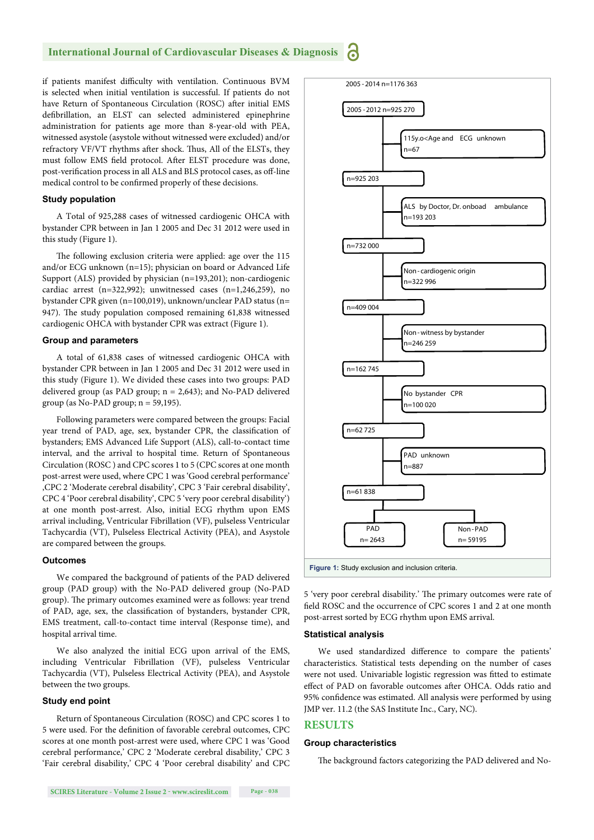#### **International Journal of Cardiovascular Diseases & Diagnosis** <u>ה</u>

if patients manifest difficulty with ventilation. Continuous BVM is selected when initial ventilation is successful. If patients do not have Return of Spontaneous Circulation (ROSC) after initial EMS defibrillation, an ELST can selected administered epinephrine administration for patients age more than 8-year-old with PEA, witnessed asystole (asystole without witnessed were excluded) and/or refractory VF/VT rhythms after shock. Thus, All of the ELSTs, they must follow EMS field protocol. After ELST procedure was done, post-verification process in all ALS and BLS protocol cases, as off-line medical control to be confirmed properly of these decisions.

#### **Study population**

A Total of 925,288 cases of witnessed cardiogenic OHCA with bystander CPR between in Jan 1 2005 and Dec 31 2012 were used in this study (Figure 1).

The following exclusion criteria were applied: age over the 115 and/or ECG unknown (n=15); physician on board or Advanced Life Support (ALS) provided by physician (n=193,201); non-cardiogenic cardiac arrest (n=322,992); unwitnessed cases (n=1,246,259), no bystander CPR given (n=100,019), unknown/unclear PAD status (n= 947). The study population composed remaining 61,838 witnessed cardiogenic OHCA with bystander CPR was extract (Figure 1).

#### **Group and parameters**

A total of 61,838 cases of witnessed cardiogenic OHCA with bystander CPR between in Jan 1 2005 and Dec 31 2012 were used in this study (Figure 1). We divided these cases into two groups: PAD delivered group (as PAD group; n = 2,643); and No-PAD delivered group (as No-PAD group;  $n = 59,195$ ).

Following parameters were compared between the groups: Facial year trend of PAD, age, sex, bystander CPR, the classification of bystanders; EMS Advanced Life Support (ALS), call-to-contact time interval, and the arrival to hospital time. Return of Spontaneous Circulation (ROSC ) and CPC scores 1 to 5 (CPC scores at one month post-arrest were used, where CPC 1 was 'Good cerebral performance' ,CPC 2 'Moderate cerebral disability', CPC 3 'Fair cerebral disability', CPC 4 'Poor cerebral disability', CPC 5 'very poor cerebral disability') at one month post-arrest. Also, initial ECG rhythm upon EMS arrival including, Ventricular Fibrillation (VF), pulseless Ventricular Tachycardia (VT), Pulseless Electrical Activity (PEA), and Asystole are compared between the groups.

#### **Outcomes**

We compared the background of patients of the PAD delivered group (PAD group) with the No-PAD delivered group (No-PAD group). The primary outcomes examined were as follows: year trend of PAD, age, sex, the classification of bystanders, bystander CPR, EMS treatment, call-to-contact time interval (Response time), and hospital arrival time.

We also analyzed the initial ECG upon arrival of the EMS, including Ventricular Fibrillation (VF), pulseless Ventricular Tachycardia (VT), Pulseless Electrical Activity (PEA), and Asystole between the two groups.

#### **Study end point**

Return of Spontaneous Circulation (ROSC) and CPC scores 1 to 5 were used. For the definition of favorable cerebral outcomes, CPC scores at one month post-arrest were used, where CPC 1 was 'Good cerebral performance,' CPC 2 'Moderate cerebral disability,' CPC 3 'Fair cerebral disability,' CPC 4 'Poor cerebral disability' and CPC



**Figure 1:** Study exclusion and inclusion criteria.

5 'very poor cerebral disability.' The primary outcomes were rate of field ROSC and the occurrence of CPC scores 1 and 2 at one month post-arrest sorted by ECG rhythm upon EMS arrival.

#### **Statistical analysis**

We used standardized difference to compare the patients' characteristics. Statistical tests depending on the number of cases were not used. Univariable logistic regression was fitted to estimate effect of PAD on favorable outcomes after OHCA. Odds ratio and 95% confidence was estimated. All analysis were performed by using JMP ver. 11.2 (the SAS Institute Inc., Cary, NC).

#### **RESULTS**

#### **Group characteristics**

The background factors categorizing the PAD delivered and No-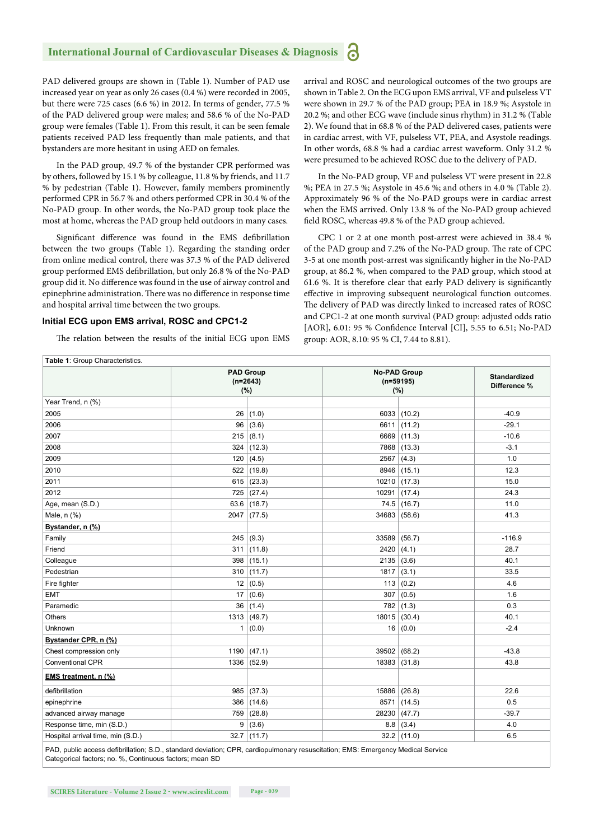#### **International Journal of Cardiovascular Diseases & Diagnosis**

PAD delivered groups are shown in (Table 1). Number of PAD use increased year on year as only 26 cases (0.4 %) were recorded in 2005, but there were 725 cases (6.6 %) in 2012. In terms of gender, 77.5 % of the PAD delivered group were males; and 58.6 % of the No-PAD group were females (Table 1). From this result, it can be seen female patients received PAD less frequently than male patients, and that bystanders are more hesitant in using AED on females.

In the PAD group, 49.7 % of the bystander CPR performed was by others, followed by 15.1 % by colleague, 11.8 % by friends, and 11.7 % by pedestrian (Table 1). However, family members prominently performed CPR in 56.7 % and others performed CPR in 30.4 % of the No-PAD group. In other words, the No-PAD group took place the most at home, whereas the PAD group held outdoors in many cases.

Significant difference was found in the EMS defibrillation between the two groups (Table 1). Regarding the standing order from online medical control, there was 37.3 % of the PAD delivered group performed EMS defibrillation, but only 26.8 % of the No-PAD group did it. No difference was found in the use of airway control and epinephrine administration. There was no difference in response time and hospital arrival time between the two groups.

#### **Initial ECG upon EMS arrival, ROSC and CPC1-2**

The relation between the results of the initial ECG upon EMS

arrival and ROSC and neurological outcomes of the two groups are shown in Table 2. On the ECG upon EMS arrival, VF and pulseless VT were shown in 29.7 % of the PAD group; PEA in 18.9 %; Asystole in 20.2 %; and other ECG wave (include sinus rhythm) in 31.2 % (Table 2). We found that in 68.8 % of the PAD delivered cases, patients were in cardiac arrest, with VF, pulseless VT, PEA, and Asystole readings. In other words, 68.8 % had a cardiac arrest waveform. Only 31.2 % were presumed to be achieved ROSC due to the delivery of PAD.

In the No-PAD group, VF and pulseless VT were present in 22.8 %; PEA in 27.5 %; Asystole in 45.6 %; and others in 4.0 % (Table 2). Approximately 96 % of the No-PAD groups were in cardiac arrest when the EMS arrived. Only 13.8 % of the No-PAD group achieved field ROSC, whereas 49.8 % of the PAD group achieved.

CPC 1 or 2 at one month post-arrest were achieved in 38.4 % of the PAD group and 7.2% of the No-PAD group. The rate of CPC 3-5 at one month post-arrest was significantly higher in the No-PAD group, at 86.2 %, when compared to the PAD group, which stood at 61.6 %. It is therefore clear that early PAD delivery is significantly effective in improving subsequent neurological function outcomes. The delivery of PAD was directly linked to increased rates of ROSC and CPC1-2 at one month survival (PAD group: adjusted odds ratio [AOR], 6.01: 95 % Confidence Interval [CI], 5.55 to 6.51; No-PAD group: AOR, 8.10: 95 % CI, 7.44 to 8.81).

| Table 1: Group Characteristics.   |                                       |        |                                           |               |                              |  |  |  |  |
|-----------------------------------|---------------------------------------|--------|-------------------------------------------|---------------|------------------------------|--|--|--|--|
|                                   | <b>PAD Group</b><br>$(n=2643)$<br>(%) |        | <b>No-PAD Group</b><br>$(n=59195)$<br>(%) |               | Standardized<br>Difference % |  |  |  |  |
| Year Trend, n (%)                 |                                       |        |                                           |               |                              |  |  |  |  |
| 2005                              | 26                                    | (1.0)  |                                           | 6033   (10.2) | $-40.9$                      |  |  |  |  |
| 2006                              | 96                                    | (3.6)  | 6611                                      | (11.2)        | $-29.1$                      |  |  |  |  |
| 2007                              | 215                                   | (8.1)  | 6669                                      | (11.3)        | $-10.6$                      |  |  |  |  |
| 2008                              | 324                                   | (12.3) | 7868                                      | (13.3)        | $-3.1$                       |  |  |  |  |
| 2009                              | 120                                   | (4.5)  | 2567                                      | (4.3)         | 1.0                          |  |  |  |  |
| 2010                              | 522                                   | (19.8) | 8946                                      | (15.1)        | 12.3                         |  |  |  |  |
| 2011                              | 615                                   | (23.3) | 10210                                     | (17.3)        | 15.0                         |  |  |  |  |
| 2012                              | 725                                   | (27.4) | 10291                                     | (17.4)        | 24.3                         |  |  |  |  |
| Age, mean (S.D.)                  | 63.6                                  | (18.7) | 74.5                                      | (16.7)        | 11.0                         |  |  |  |  |
| Male, n (%)                       | 2047                                  | (77.5) | 34683                                     | (58.6)        | 41.3                         |  |  |  |  |
| Bystander, n (%)                  |                                       |        |                                           |               |                              |  |  |  |  |
| Family                            | 245                                   | (9.3)  | 33589                                     | (56.7)        | $-116.9$                     |  |  |  |  |
| Friend                            | 311                                   | (11.8) | 2420                                      | (4.1)         | 28.7                         |  |  |  |  |
| Colleague                         | 398                                   | (15.1) | 2135                                      | (3.6)         | 40.1                         |  |  |  |  |
| Pedestrian                        | 310                                   | (11.7) | 1817                                      | (3.1)         | 33.5                         |  |  |  |  |
| Fire fighter                      | 12                                    | (0.5)  | 113                                       | (0.2)         | 4.6                          |  |  |  |  |
| <b>EMT</b>                        | 17                                    | (0.6)  | 307                                       | (0.5)         | 1.6                          |  |  |  |  |
| Paramedic                         | 36                                    | (1.4)  | 782                                       | (1.3)         | 0.3                          |  |  |  |  |
| Others                            | 1313                                  | (49.7) | 18015                                     | (30.4)        | 40.1                         |  |  |  |  |
| Unknown                           | 1                                     | (0.0)  | 16                                        | (0.0)         | $-2.4$                       |  |  |  |  |
| Bystander CPR, n (%)              |                                       |        |                                           |               |                              |  |  |  |  |
| Chest compression only            | 1190                                  | (47.1) | 39502                                     | (68.2)        | $-43.8$                      |  |  |  |  |
| <b>Conventional CPR</b>           | 1336                                  | (52.9) | 18383                                     | (31.8)        | 43.8                         |  |  |  |  |
| EMS treatment, n (%)              |                                       |        |                                           |               |                              |  |  |  |  |
| defibrillation                    | 985                                   | (37.3) | 15886                                     | (26.8)        | 22.6                         |  |  |  |  |
| epinephrine                       | 386                                   | (14.6) | 8571                                      | (14.5)        | 0.5                          |  |  |  |  |
| advanced airway manage            | 759                                   | (28.8) | 28230                                     | (47.7)        | $-39.7$                      |  |  |  |  |
| Response time, min (S.D.)         | 9                                     | (3.6)  | 8.8                                       | (3.4)         | 4.0                          |  |  |  |  |
| Hospital arrival time, min (S.D.) | 32.7                                  | (11.7) | 32.2                                      | (11.0)        | 6.5                          |  |  |  |  |

PAD, public access defibrillation; S.D., standard deviation; CPR, cardiopulmonary resuscitation; EMS: Emergency Medical Service Categorical factors; no. %, Continuous factors; mean SD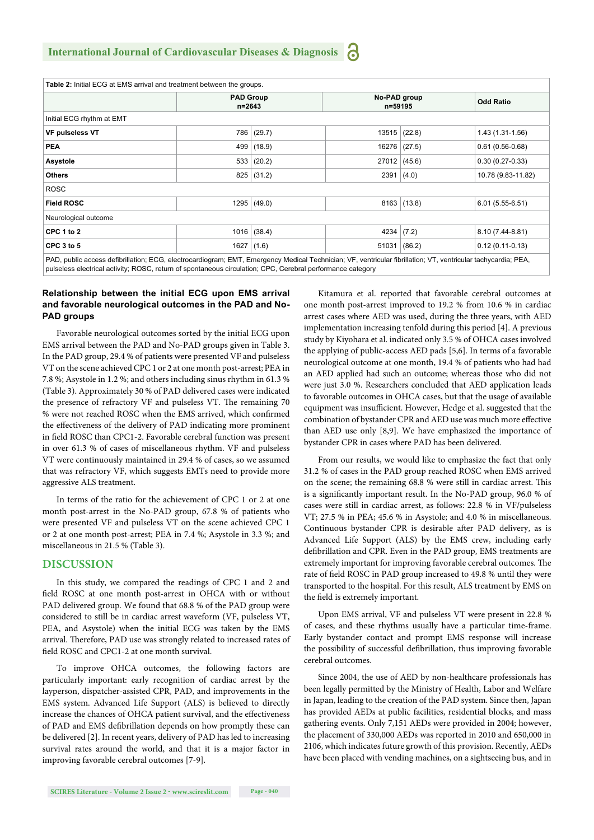| Table 2: Initial ECG at EMS arrival and treatment between the groups.                                                                                        |                                |        |                         |                |                    |  |  |  |  |  |
|--------------------------------------------------------------------------------------------------------------------------------------------------------------|--------------------------------|--------|-------------------------|----------------|--------------------|--|--|--|--|--|
|                                                                                                                                                              | <b>PAD Group</b><br>$n = 2643$ |        | No-PAD group<br>n=59195 |                | <b>Odd Ratio</b>   |  |  |  |  |  |
| Initial ECG rhythm at EMT                                                                                                                                    |                                |        |                         |                |                    |  |  |  |  |  |
| <b>VF pulseless VT</b>                                                                                                                                       | 786                            | (29.7) | 13515                   | (22.8)         | 1.43 (1.31-1.56)   |  |  |  |  |  |
| <b>PEA</b>                                                                                                                                                   | 499                            | (18.9) | 16276                   | (27.5)         | $0.61(0.56-0.68)$  |  |  |  |  |  |
| <b>Asystole</b>                                                                                                                                              | 533                            | (20.2) |                         | 27012   (45.6) | $0.30(0.27-0.33)$  |  |  |  |  |  |
| <b>Others</b>                                                                                                                                                | 825                            | (31.2) | 2391                    | (4.0)          | 10.78 (9.83-11.82) |  |  |  |  |  |
| <b>ROSC</b>                                                                                                                                                  |                                |        |                         |                |                    |  |  |  |  |  |
| <b>Field ROSC</b>                                                                                                                                            | 1295                           | (49.0) | 8163                    | (13.8)         | $6.01(5.55-6.51)$  |  |  |  |  |  |
| Neurological outcome                                                                                                                                         |                                |        |                         |                |                    |  |  |  |  |  |
| CPC 1 to 2                                                                                                                                                   | 1016                           | (38.4) | 4234                    | (7.2)          | 8.10 (7.44-8.81)   |  |  |  |  |  |
| CPC 3 to 5                                                                                                                                                   | 1627                           | (1.6)  | 51031                   | (86.2)         | $0.12(0.11-0.13)$  |  |  |  |  |  |
| PAD, public access defibrillation: ECG, electrocardiogram: EMT, Emergency Medical Technician: VE, ventricular fibrillation: VT, ventricular tachycardia: PEA |                                |        |                         |                |                    |  |  |  |  |  |

PAD, public access defibrillation; ECG, electrocardiogram; EMT, Emergency Medical Technician; VF, ventricular fibrillation; VT, ventricular tachycardia; PEA, pulseless electrical activity; ROSC, return of spontaneous circulation; CPC, Cerebral performance category

#### **Relationship between the initial ECG upon EMS arrival and favorable neurological outcomes in the PAD and No-PAD groups**

Favorable neurological outcomes sorted by the initial ECG upon EMS arrival between the PAD and No-PAD groups given in Table 3. In the PAD group, 29.4 % of patients were presented VF and pulseless VT on the scene achieved CPC 1 or 2 at one month post-arrest; PEA in 7.8 %; Asystole in 1.2 %; and others including sinus rhythm in 61.3 % (Table 3). Approximately 30 % of PAD delivered cases were indicated the presence of refractory VF and pulseless VT. The remaining 70 % were not reached ROSC when the EMS arrived, which confirmed the effectiveness of the delivery of PAD indicating more prominent in field ROSC than CPC1-2. Favorable cerebral function was present in over 61.3 % of cases of miscellaneous rhythm. VF and pulseless VT were continuously maintained in 29.4 % of cases, so we assumed that was refractory VF, which suggests EMTs need to provide more aggressive ALS treatment.

In terms of the ratio for the achievement of CPC 1 or 2 at one month post-arrest in the No-PAD group, 67.8 % of patients who were presented VF and pulseless VT on the scene achieved CPC 1 or 2 at one month post-arrest; PEA in 7.4 %; Asystole in 3.3 %; and miscellaneous in 21.5 % (Table 3).

#### **DISCUSSION**

In this study, we compared the readings of CPC 1 and 2 and field ROSC at one month post-arrest in OHCA with or without PAD delivered group. We found that 68.8 % of the PAD group were considered to still be in cardiac arrest waveform (VF, pulseless VT, PEA, and Asystole) when the initial ECG was taken by the EMS arrival. Therefore, PAD use was strongly related to increased rates of field ROSC and CPC1-2 at one month survival.

To improve OHCA outcomes, the following factors are particularly important: early recognition of cardiac arrest by the layperson, dispatcher-assisted CPR, PAD, and improvements in the EMS system. Advanced Life Support (ALS) is believed to directly increase the chances of OHCA patient survival, and the effectiveness of PAD and EMS defibrillation depends on how promptly these can be delivered [2]. In recent years, delivery of PAD has led to increasing survival rates around the world, and that it is a major factor in improving favorable cerebral outcomes [7-9].

Kitamura et al. reported that favorable cerebral outcomes at one month post-arrest improved to 19.2 % from 10.6 % in cardiac arrest cases where AED was used, during the three years, with AED implementation increasing tenfold during this period [4]. A previous study by Kiyohara et al. indicated only 3.5 % of OHCA cases involved the applying of public-access AED pads [5,6]. In terms of a favorable neurological outcome at one month, 19.4 % of patients who had had an AED applied had such an outcome; whereas those who did not were just 3.0 %. Researchers concluded that AED application leads to favorable outcomes in OHCA cases, but that the usage of available equipment was insufficient. However, Hedge et al. suggested that the combination of bystander CPR and AED use was much more effective than AED use only [8,9]. We have emphasized the importance of bystander CPR in cases where PAD has been delivered.

From our results, we would like to emphasize the fact that only 31.2 % of cases in the PAD group reached ROSC when EMS arrived on the scene; the remaining 68.8 % were still in cardiac arrest. This is a significantly important result. In the No-PAD group, 96.0 % of cases were still in cardiac arrest, as follows: 22.8 % in VF/pulseless VT; 27.5 % in PEA; 45.6 % in Asystole; and 4.0 % in miscellaneous. Continuous bystander CPR is desirable after PAD delivery, as is Advanced Life Support (ALS) by the EMS crew, including early defibrillation and CPR. Even in the PAD group, EMS treatments are extremely important for improving favorable cerebral outcomes. The rate of field ROSC in PAD group increased to 49.8 % until they were transported to the hospital. For this result, ALS treatment by EMS on the field is extremely important.

Upon EMS arrival, VF and pulseless VT were present in 22.8 % of cases, and these rhythms usually have a particular time-frame. Early bystander contact and prompt EMS response will increase the possibility of successful defibrillation, thus improving favorable cerebral outcomes.

Since 2004, the use of AED by non-healthcare professionals has been legally permitted by the Ministry of Health, Labor and Welfare in Japan, leading to the creation of the PAD system. Since then, Japan has provided AEDs at public facilities, residential blocks, and mass gathering events. Only 7,151 AEDs were provided in 2004; however, the placement of 330,000 AEDs was reported in 2010 and 650,000 in 2106, which indicates future growth of this provision. Recently, AEDs have been placed with vending machines, on a sightseeing bus, and in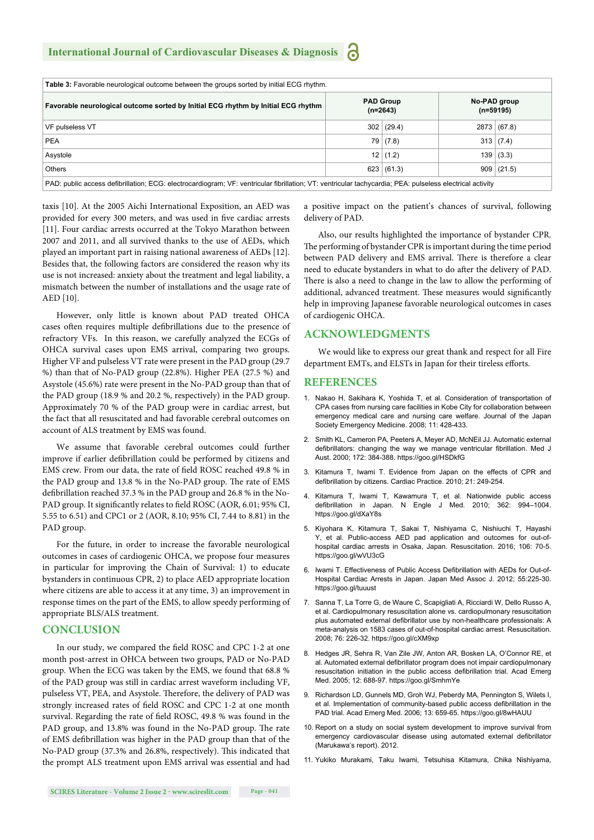| <b>Table 3:</b> Favorable neurological outcome between the groups sorted by initial ECG rhythm.                                                          |                                |              |  |                             |  |  |  |  |
|----------------------------------------------------------------------------------------------------------------------------------------------------------|--------------------------------|--------------|--|-----------------------------|--|--|--|--|
| Favorable neurological outcome sorted by Initial ECG rhythm by Initial ECG rhythm                                                                        | <b>PAD Group</b><br>$(n=2643)$ |              |  | No-PAD group<br>$(n=59195)$ |  |  |  |  |
| VF pulseless VT                                                                                                                                          |                                | 302   (29.4) |  | 2873 (67.8)                 |  |  |  |  |
| <b>PEA</b>                                                                                                                                               |                                | 79(7.8)      |  | $313 \mid (7.4)$            |  |  |  |  |
| Asystole                                                                                                                                                 |                                | 12   (1.2)   |  | $139 \mid (3.3)$            |  |  |  |  |
| Others                                                                                                                                                   |                                | 623   (61.3) |  | 909   (21.5)                |  |  |  |  |
| PAD: public access defibrillation; ECG: electrocardiogram; VF: ventricular fibrillation; VT: ventricular tachycardia; PEA: pulseless electrical activity |                                |              |  |                             |  |  |  |  |

taxis [10]. At the 2005 Aichi International Exposition, an AED was provided for every 300 meters, and was used in five cardiac arrests [11]. Four cardiac arrests occurred at the Tokyo Marathon between 2007 and 2011, and all survived thanks to the use of AEDs, which played an important part in raising national awareness of AEDs [12]. Besides that, the following factors are considered the reason why its use is not increased: anxiety about the treatment and legal liability, a mismatch between the number of installations and the usage rate of AED [10].

However, only little is known about PAD treated OHCA cases often requires multiple defibrillations due to the presence of refractory VFs. In this reason, we carefully analyzed the ECGs of OHCA survival cases upon EMS arrival, comparing two groups. Higher VF and pulseless VT rate were present in the PAD group (29.7 %) than that of No-PAD group (22.8%). Higher PEA (27.5 %) and Asystole (45.6%) rate were present in the No-PAD group than that of the PAD group (18.9 % and 20.2 %, respectively) in the PAD group. Approximately 70 % of the PAD group were in cardiac arrest, but the fact that all resuscitated and had favorable cerebral outcomes on account of ALS treatment by EMS was found.

We assume that favorable cerebral outcomes could further improve if earlier defibrillation could be performed by citizens and EMS crew. From our data, the rate of field ROSC reached 49.8 % in the PAD group and 13.8 % in the No-PAD group. The rate of EMS defibrillation reached 37.3 % in the PAD group and 26.8 % in the No-PAD group. It significantly relates to field ROSC (AOR, 6.01; 95% CI, 5.55 to 6.51) and CPC1 or 2 (AOR, 8.10; 95% CI, 7.44 to 8.81) in the PAD group.

For the future, in order to increase the favorable neurological outcomes in cases of cardiogenic OHCA, we propose four measures in particular for improving the Chain of Survival: 1) to educate bystanders in continuous CPR, 2) to place AED appropriate location where citizens are able to access it at any time, 3) an improvement in response times on the part of the EMS, to allow speedy performing of appropriate BLS/ALS treatment.

#### **CONCLUSION**

In our study, we compared the field ROSC and CPC 1-2 at one month post-arrest in OHCA between two groups, PAD or No-PAD group. When the ECG was taken by the EMS, we found that 68.8 % of the PAD group was still in cardiac arrest waveform including VF, pulseless VT, PEA, and Asystole. Therefore, the delivery of PAD was strongly increased rates of field ROSC and CPC 1-2 at one month survival. Regarding the rate of field ROSC, 49.8 % was found in the PAD group, and 13.8% was found in the No-PAD group. The rate of EMS defibrillation was higher in the PAD group than that of the No-PAD group (37.3% and 26.8%, respectively). This indicated that the prompt ALS treatment upon EMS arrival was essential and had a positive impact on the patient's chances of survival, following delivery of PAD.

Also, our results highlighted the importance of bystander CPR. The performing of bystander CPR is important during the time period between PAD delivery and EMS arrival. There is therefore a clear need to educate bystanders in what to do after the delivery of PAD. There is also a need to change in the law to allow the performing of additional, advanced treatment. These measures would significantly help in improving Japanese favorable neurological outcomes in cases of cardiogenic OHCA.

#### **ACKNOWLEDGMENTS**

We would like to express our great thank and respect for all Fire department EMTs, and ELSTs in Japan for their tireless efforts.

#### **REFERENCES**

- 1. Nakao H, Sakihara K, Yoshida T, et al. Consideration of transportation of CPA cases from nursing care facilities in Kobe City for collaboration between emergency medical care and nursing care welfare. Journal of the Japan Society Emergency Medicine. 2008; 11: 428-433.
- 2. Smith KL, Cameron PA, Peeters A, Meyer AD, McNEil JJ. Automatic external defibrillators: changing the way we manage ventricular fibrillation. Med J Aust. 2000; 172: 384-388. https://goo.gl/HSDkfG
- 3. Kitamura T, Iwami T. Evidence from Japan on the effects of CPR and defibrillation by citizens. Cardiac Practice. 2010; 21: 249-254.
- 4. Kitamura T, Iwami T, Kawamura T, et al. Nationwide public access defibrillation in Japan. N Engle J Med. 2010; 362: 994-1004. https://goo.gl/dXaY8s
- 5. Kiyohara K, Kitamura T, Sakai T, Nishiyama C, Nishiuchi T, Hayashi Y, et al. Public-access AED pad application and outcomes for out-ofhospital cardiac arrests in Osaka, Japan. Resuscitation. 2016; 106: 70-5. https://goo.gl/wVU3cG
- 6. Iwami T. Effectiveness of Public Access Defibrillation with AEDs for Out-of-Hospital Cardiac Arrests in Japan. Japan Med Assoc J. 2012; 55:225-30. https://goo.gl/tuuust
- 7. Sanna T, La Torre G, de Waure C, Scapigliati A, Ricciardi W, Dello Russo A, et al. Cardiopulmonary resuscitation alone vs. cardiopulmonary resuscitation plus automated external defibrillator use by non-healthcare professionals: A meta-analysis on 1583 cases of out-of-hospital cardiac arrest. Resuscitation. 2008; 76: 226-32. https://goo.gl/cXM9xp
- 8. Hedges JR, Sehra R, Van Zile JW, Anton AR, Bosken LA, O'Connor RE, et al. Automated external defibrillator program does not impair cardiopulmonary resuscitation initiation in the public access defibrillation trial. Acad Emerg Med. 2005; 12: 688-97. https://goo.gl/SmhmYe
- 9. Richardson LD, Gunnels MD, Groh WJ, Peberdy MA, Pennington S, Wilets I, et al. Implementation of community-based public access defibrillation in the PAD trial. Acad Emerg Med. 2006; 13: 659-65. https://goo.gl/8wHAUU
- 10. Report on a study on social system development to improve survival from emergency cardiovascular disease using automated external defibrillator (Marukawa's report). 2012.
- 11. Yukiko Murakami, Taku Iwami, Tetsuhisa Kitamura, Chika Nishiyama,